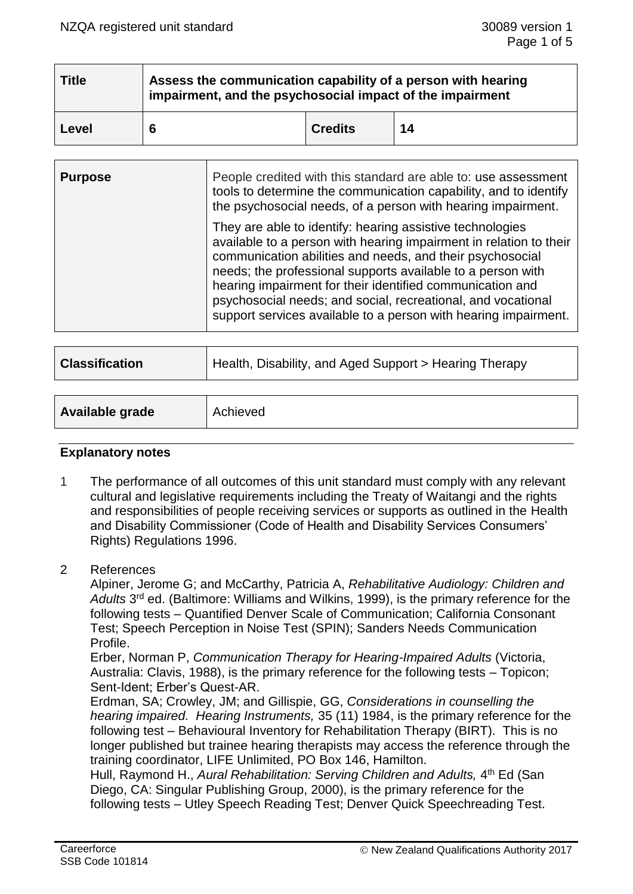| <b>Title</b> | Assess the communication capability of a person with hearing<br>impairment, and the psychosocial impact of the impairment |                |    |  |  |
|--------------|---------------------------------------------------------------------------------------------------------------------------|----------------|----|--|--|
| Level        |                                                                                                                           | <b>Credits</b> | 14 |  |  |

| <b>Purpose</b> | People credited with this standard are able to: use assessment<br>tools to determine the communication capability, and to identify<br>the psychosocial needs, of a person with hearing impairment.                                                                                                                                                                                                                                                          |
|----------------|-------------------------------------------------------------------------------------------------------------------------------------------------------------------------------------------------------------------------------------------------------------------------------------------------------------------------------------------------------------------------------------------------------------------------------------------------------------|
|                | They are able to identify: hearing assistive technologies<br>available to a person with hearing impairment in relation to their<br>communication abilities and needs, and their psychosocial<br>needs; the professional supports available to a person with<br>hearing impairment for their identified communication and<br>psychosocial needs; and social, recreational, and vocational<br>support services available to a person with hearing impairment. |

| <b>Classification</b> | Health, Disability, and Aged Support > Hearing Therapy |
|-----------------------|--------------------------------------------------------|
|                       |                                                        |
| Available grade       | Achieved                                               |

### **Explanatory notes**

- 1 The performance of all outcomes of this unit standard must comply with any relevant cultural and legislative requirements including the Treaty of Waitangi and the rights and responsibilities of people receiving services or supports as outlined in the Health and Disability Commissioner (Code of Health and Disability Services Consumers' Rights) Regulations 1996.
- 2 References

Alpiner, Jerome G; and McCarthy, Patricia A, *Rehabilitative Audiology: Children and*  Adults<sup>3rd</sup> ed. (Baltimore: Williams and Wilkins, 1999), is the primary reference for the following tests – Quantified Denver Scale of Communication; California Consonant Test; Speech Perception in Noise Test (SPIN); Sanders Needs Communication Profile.

Erber, Norman P, *Communication Therapy for Hearing-Impaired Adults* (Victoria, Australia: Clavis, 1988), is the primary reference for the following tests – Topicon; Sent-Ident; Erber's Quest-AR.

Erdman, SA; Crowley, JM; and Gillispie, GG, *Considerations in counselling the hearing impaired. Hearing Instruments,* 35 (11) 1984, is the primary reference for the following test – Behavioural Inventory for Rehabilitation Therapy (BIRT). This is no longer published but trainee hearing therapists may access the reference through the training coordinator, LIFE Unlimited, PO Box 146, Hamilton.

Hull, Raymond H., Aural Rehabilitation: Serving Children and Adults, 4<sup>th</sup> Ed (San Diego, CA: Singular Publishing Group, 2000), is the primary reference for the following tests – Utley Speech Reading Test; Denver Quick Speechreading Test.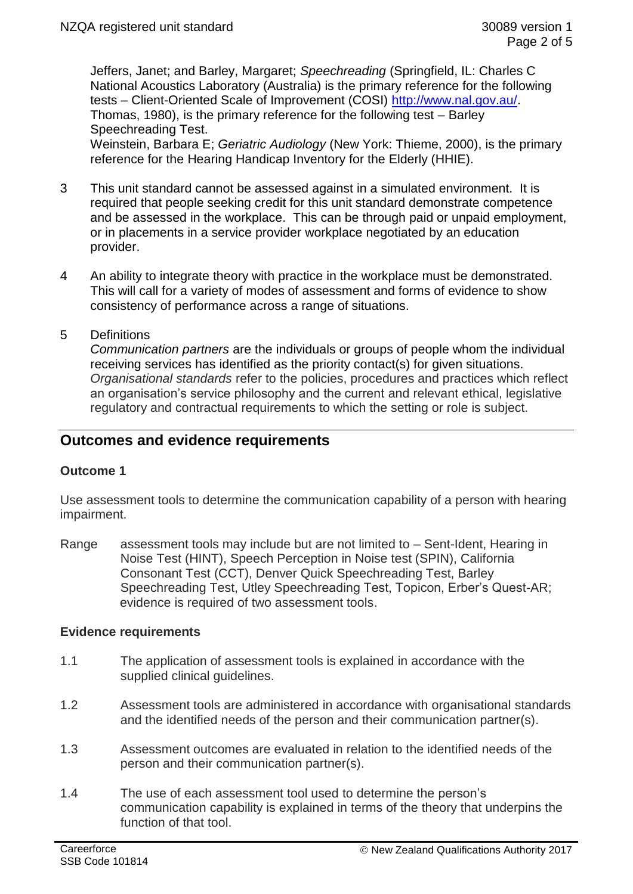Jeffers, Janet; and Barley, Margaret; *Speechreading* (Springfield, IL: Charles C National Acoustics Laboratory (Australia) is the primary reference for the following tests – Client-Oriented Scale of Improvement (COSI) [http://www.nal.gov.au/.](http://www.nal.gov.au/) Thomas, 1980), is the primary reference for the following test – Barley Speechreading Test.

Weinstein, Barbara E; *Geriatric Audiology* (New York: Thieme, 2000), is the primary reference for the Hearing Handicap Inventory for the Elderly (HHIE).

- 3 This unit standard cannot be assessed against in a simulated environment. It is required that people seeking credit for this unit standard demonstrate competence and be assessed in the workplace. This can be through paid or unpaid employment, or in placements in a service provider workplace negotiated by an education provider.
- 4 An ability to integrate theory with practice in the workplace must be demonstrated. This will call for a variety of modes of assessment and forms of evidence to show consistency of performance across a range of situations.
- 5 Definitions

*Communication partners* are the individuals or groups of people whom the individual receiving services has identified as the priority contact(s) for given situations. *Organisational standards* refer to the policies, procedures and practices which reflect an organisation's service philosophy and the current and relevant ethical, legislative regulatory and contractual requirements to which the setting or role is subject.

# **Outcomes and evidence requirements**

## **Outcome 1**

Use assessment tools to determine the communication capability of a person with hearing impairment.

Range assessment tools may include but are not limited to – Sent-Ident, Hearing in Noise Test (HINT), Speech Perception in Noise test (SPIN), California Consonant Test (CCT), Denver Quick Speechreading Test, Barley Speechreading Test, Utley Speechreading Test, Topicon, Erber's Quest-AR; evidence is required of two assessment tools.

#### **Evidence requirements**

- 1.1 The application of assessment tools is explained in accordance with the supplied clinical guidelines.
- 1.2 Assessment tools are administered in accordance with organisational standards and the identified needs of the person and their communication partner(s).
- 1.3 Assessment outcomes are evaluated in relation to the identified needs of the person and their communication partner(s).
- 1.4 The use of each assessment tool used to determine the person's communication capability is explained in terms of the theory that underpins the function of that tool.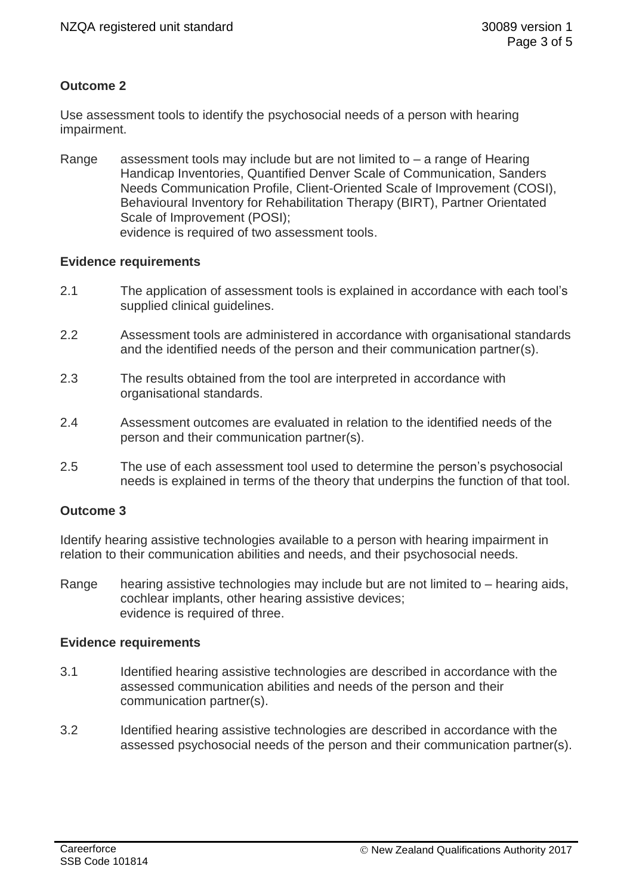# **Outcome 2**

Use assessment tools to identify the psychosocial needs of a person with hearing impairment.

Range assessment tools may include but are not limited to – a range of Hearing Handicap Inventories, Quantified Denver Scale of Communication, Sanders Needs Communication Profile, Client-Oriented Scale of Improvement (COSI), Behavioural Inventory for Rehabilitation Therapy (BIRT), Partner Orientated Scale of Improvement (POSI); evidence is required of two assessment tools.

### **Evidence requirements**

- 2.1 The application of assessment tools is explained in accordance with each tool's supplied clinical guidelines.
- 2.2 Assessment tools are administered in accordance with organisational standards and the identified needs of the person and their communication partner(s).
- 2.3 The results obtained from the tool are interpreted in accordance with organisational standards.
- 2.4 Assessment outcomes are evaluated in relation to the identified needs of the person and their communication partner(s).
- 2.5 The use of each assessment tool used to determine the person's psychosocial needs is explained in terms of the theory that underpins the function of that tool.

## **Outcome 3**

Identify hearing assistive technologies available to a person with hearing impairment in relation to their communication abilities and needs, and their psychosocial needs.

Range hearing assistive technologies may include but are not limited to – hearing aids, cochlear implants, other hearing assistive devices; evidence is required of three.

#### **Evidence requirements**

- 3.1 Identified hearing assistive technologies are described in accordance with the assessed communication abilities and needs of the person and their communication partner(s).
- 3.2 Identified hearing assistive technologies are described in accordance with the assessed psychosocial needs of the person and their communication partner(s).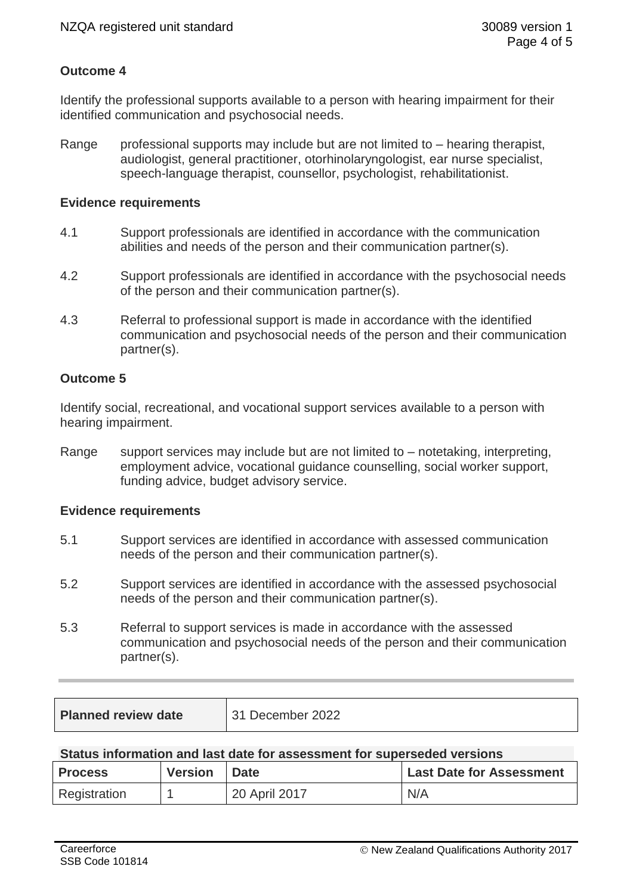# **Outcome 4**

Identify the professional supports available to a person with hearing impairment for their identified communication and psychosocial needs.

Range professional supports may include but are not limited to  $-$  hearing therapist, audiologist, general practitioner, otorhinolaryngologist, ear nurse specialist, speech-language therapist, counsellor, psychologist, rehabilitationist.

### **Evidence requirements**

- 4.1 Support professionals are identified in accordance with the communication abilities and needs of the person and their communication partner(s).
- 4.2 Support professionals are identified in accordance with the psychosocial needs of the person and their communication partner(s).
- 4.3 Referral to professional support is made in accordance with the identified communication and psychosocial needs of the person and their communication partner(s).

# **Outcome 5**

Identify social, recreational, and vocational support services available to a person with hearing impairment.

Range support services may include but are not limited to – notetaking, interpreting, employment advice, vocational guidance counselling, social worker support, funding advice, budget advisory service.

## **Evidence requirements**

- 5.1 Support services are identified in accordance with assessed communication needs of the person and their communication partner(s).
- 5.2 Support services are identified in accordance with the assessed psychosocial needs of the person and their communication partner(s).
- 5.3 Referral to support services is made in accordance with the assessed communication and psychosocial needs of the person and their communication partner(s).

| <b>Planned review date</b><br>December 2022 |
|---------------------------------------------|
|---------------------------------------------|

#### **Status information and last date for assessment for superseded versions**

| <b>Process</b> | <b>Version</b> | Date          | <b>Last Date for Assessment</b> |
|----------------|----------------|---------------|---------------------------------|
| Registration   |                | 20 April 2017 | N/A                             |